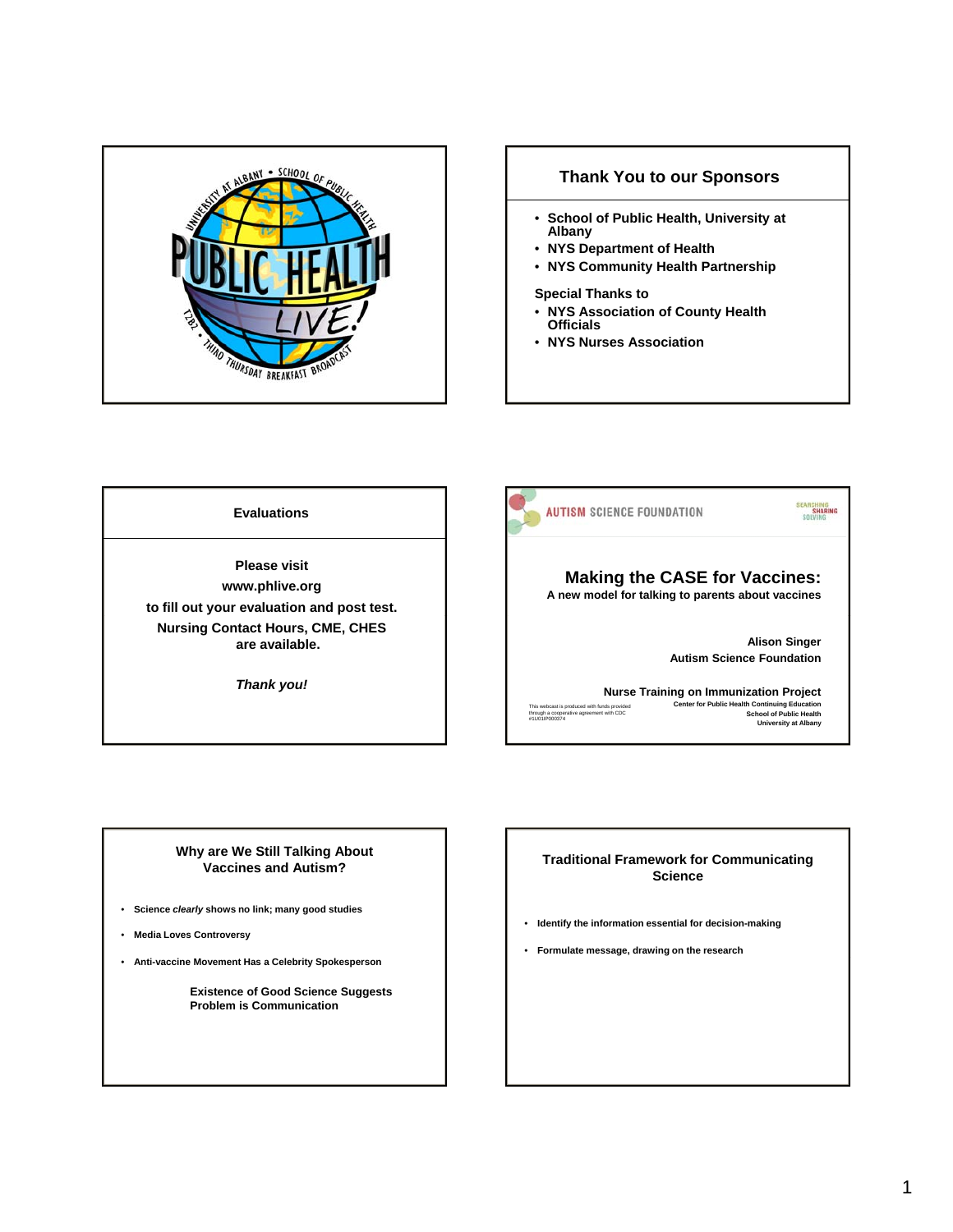

## **Thank You to our Sponsors**

- **School of Public Health, University at Albany**
- **NYS Department of Health**
- **NYS Community Health Partnership**

# **Special Thanks to**

- **NYS Association of County Health Officials**
- **NYS Nurses Association**

**Evaluations**

**Please visit www.phlive.org to fill out your evaluation and post test. Nursing Contact Hours, CME, CHES are available.** 

*Thank you!*



## **Why are We Still Talking About Vaccines and Autism?**

- **Science** *clearly* **shows no link; many good studies**
- **Media Loves Controversy**
- **Anti-vaccine Movement Has a Celebrity Spokesperson**

**Existence of Good Science Suggests Problem is Communication**

## **Traditional Framework for Communicating Science**

- **Identify the information essential for decision-making**
- **Formulate message, drawing on the research**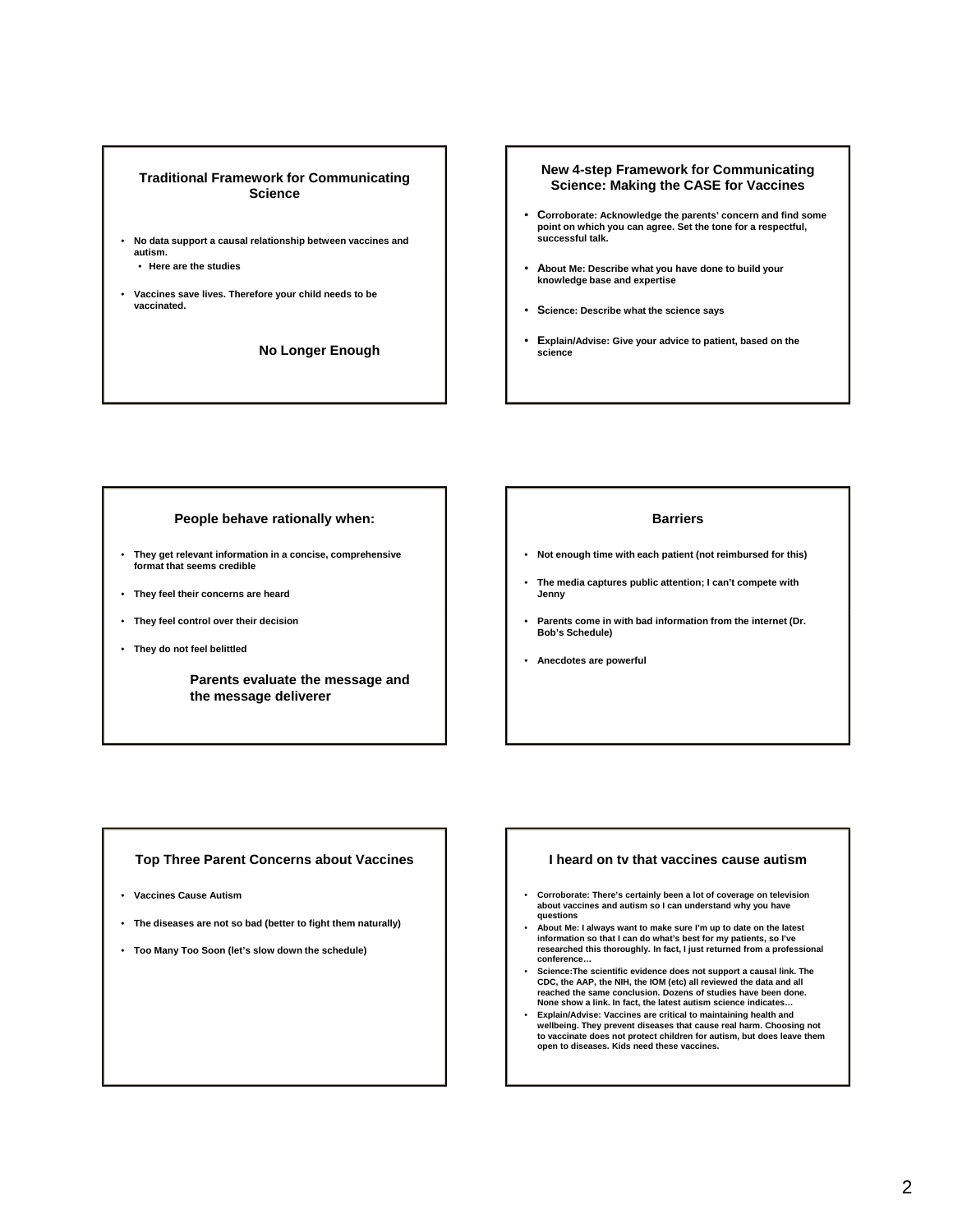### **Traditional Framework for Communicating Science**

- **No data support a causal relationship between vaccines and autism.**
	- **Here are the studies**
- **Vaccines save lives. Therefore your child needs to be vaccinated.**

**No Longer Enough**

#### **New 4-step Framework for Communicating Science: Making the CASE for Vaccines**

- **Corroborate: Acknowledge the parents' concern and find some point on which you can agree. Set the tone for a respectful, successful talk.**
- **About Me: Describe what you have done to build your knowledge base and expertise**
- **Science: Describe what the science says**
- **Explain/Advise: Give your advice to patient, based on the science**

#### **People behave rationally when:**

- **They get relevant information in a concise, comprehensive format that seems credible**
- **They feel their concerns are heard**
- **They feel control over their decision**
- **They do not feel belittled**

**Parents evaluate the message and the message deliverer**

#### **Barriers**

- **Not enough time with each patient (not reimbursed for this)**
- **The media captures public attention; I can't compete with Jenny**
- **Parents come in with bad information from the internet (Dr. Bob's Schedule)**
- **Anecdotes are powerful**

#### **Top Three Parent Concerns about Vaccines**

- **Vaccines Cause Autism**
- **The diseases are not so bad (better to fight them naturally)**
- **Too Many Too Soon (let's slow down the schedule)**

#### **I heard on tv that vaccines cause autism**

- **Corroborate: There's certainly been a lot of coverage on television about vaccines and autism so I can understand why you have questions**
- **About Me: I always want to make sure I'm up to date on the latest information so that I can do what's best for my patients, so I've researched this thoroughly. In fact, I just returned from a professional conference…**
- **Science:The scientific evidence does not support a causal link. The CDC, the AAP, the NIH, the IOM (etc) all reviewed the data and all reached the same conclusion. Dozens of studies have been done. None show a link. In fact, the latest autism science indicates…**
- **Explain/Advise: Vaccines are critical to maintaining health and wellbeing. They prevent diseases that cause real harm. Choosing not to vaccinate does not protect children for autism, but does leave them open to diseases. Kids need these vaccines.**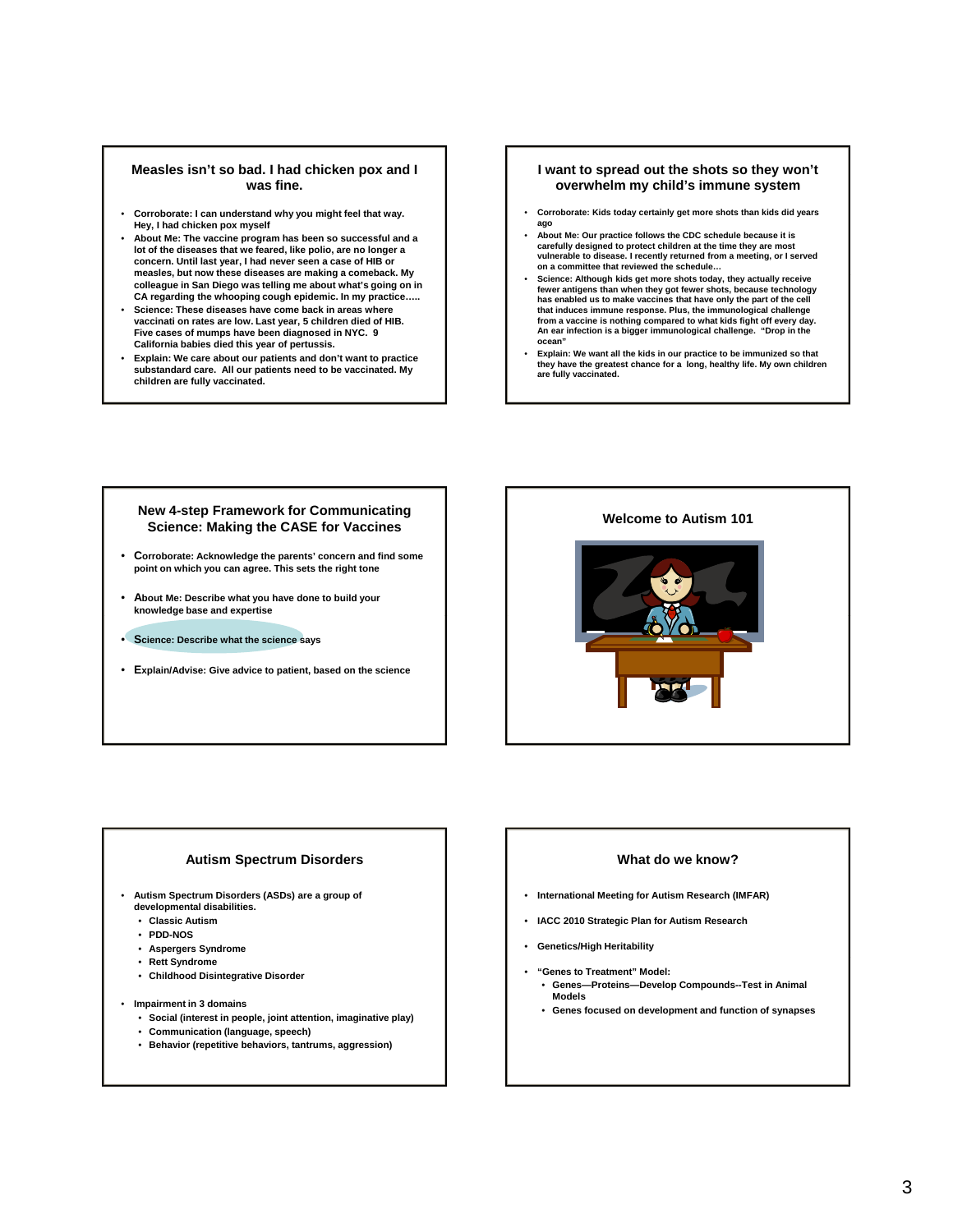#### **Measles isn't so bad. I had chicken pox and I was fine.**

- **Corroborate: I can understand why you might feel that way. Hey, I had chicken pox myself**
- **About Me: The vaccine program has been so successful and a lot of the diseases that we feared, like polio, are no longer a concern. Until last year, I had never seen a case of HIB or measles but now these diseases are making a comeback My measles, but now these diseases are making a comeback. colleague in San Diego was telling me about what's going on in CA regarding the whooping cough epidemic. In my practice…..**
- **Science: These diseases have come back in areas where vaccinati on rates are low. Last year, 5 children died of HIB. Five cases of mumps have been diagnosed in NYC. 9 California babies died this year of pertussis.**
- **Explain: We care about our patients and don't want to practice substandard care. All our patients need to be vaccinated. My children are fully vaccinated.**

#### **I want to spread out the shots so they won't overwhelm my child's immune system**

- **Corroborate: Kids today certainly get more shots than kids did years ago**
- **About Me: Our practice follows the CDC schedule because it is carefully designed to protect children at the time they are most vulnerable to disease. I recently returned from a meeting, or I served on a committee that reviewed the schedule…**
- **Science: Although kids get more shots today, they actually receive fewer antigens than when they got fewer shots, because technology has enabled us to make vaccines that have only the part of the cell that induces immune response. Plus, the immunological challenge from a vaccine is nothing compared to what kids fight off every day. An ear infection is a bigger immunological challenge. "Drop in the ocean"**
- **Explain: We want all the kids in our practice to be immunized so that they have the greatest chance for a long, healthy life. My own children are fully vaccinated.**

## **New 4-step Framework for Communicating Science: Making the CASE for Vaccines**

- **Corroborate: Acknowledge the parents' concern and find some point on which you can agree. This sets the right tone**
- **About Me: Describe what you have done to build your knowledge base and expertise**
- **Science: Describe what the science says**
- **Explain/Advise: Give advice to patient, based on the science**



#### **Autism Spectrum Disorders**

- **Autism Spectrum Disorders (ASDs) are a group of** 
	- **developmental disabilities.**
	- **Classic Autism**
	- **PDD-NOS**
	- **Aspergers Syndrome**
	- **Rett Syndrome**
	- **Childhood Disintegrative Disorder**
- **Impairment in 3 domains**
	- **Social (interest in people, joint attention, imaginative play)**
	- **Communication (language, speech)**
	- **Behavior (repetitive behaviors, tantrums, aggression)**

#### **What do we know?**

- **International Meeting for Autism Research (IMFAR)**
- **IACC 2010 Strategic Plan for Autism Research**
- **Genetics/High Heritability**
- **"Genes to Treatment" Model:**  • **Genes—Proteins—Develop Compounds--Test in Animal Models**
	- **Genes focused on development and function of synapses**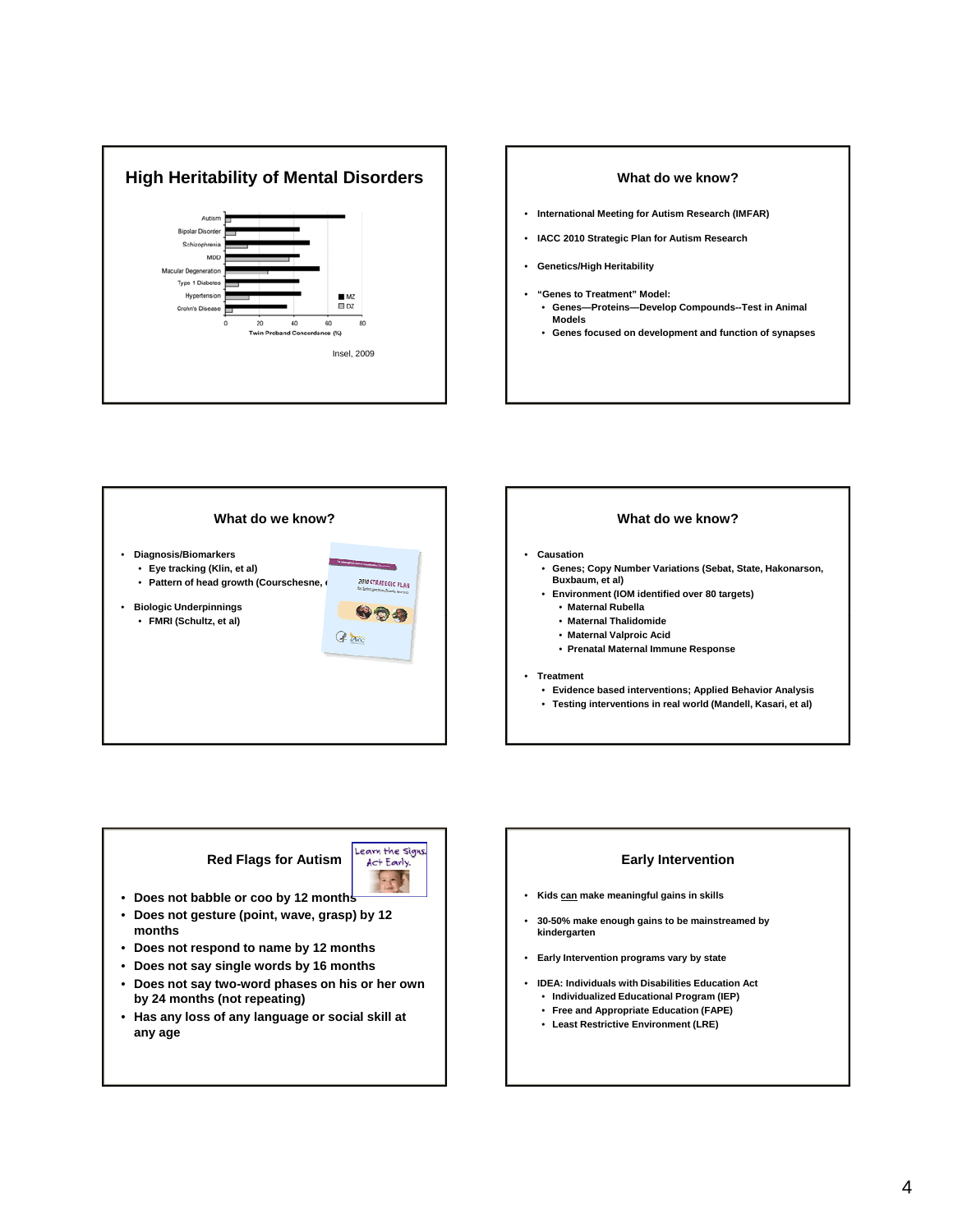





## **What do we know?**

- **Causation**
	- **Genes; Copy Number Variations (Sebat, State, Hakonarson, Buxbaum, et al)**
	- **Environment (IOM identified over 80 targets)**
		- **Maternal Rubella**
		- **Maternal Thalidomide**
		- **Maternal Valproic Acid**
		- **Prenatal Maternal Immune Response**

#### • **Treatment**

- **Evidence based interventions; Applied Behavior Analysis**
- **Testing interventions in real world (Mandell, Kasari, et al)**

# **Red Flags for Autism**



- **Does not babble or coo by 12 months**
- **Does not gesture (point, wave, grasp) by 12 months**
- **Does not respond to name by 12 months**
- **Does not say single words by 16 months**
- **Does not say two-word phases on his or her own by 24 months (not repeating)**
- **Has any loss of any language or social skill at any age**

# **Early Intervention** • **Kids can make meaningful gains in skills** • **30-50% make enough gains to be mainstreamed by kindergarten** • **Early Intervention programs vary by state Early Intervention programs vary by** • **IDEA: Individuals with Disabilities Education Act** • **Individualized Educational Program (IEP)** • **Free and Appropriate Education (FAPE)**

• **Least Restrictive Environment (LRE)**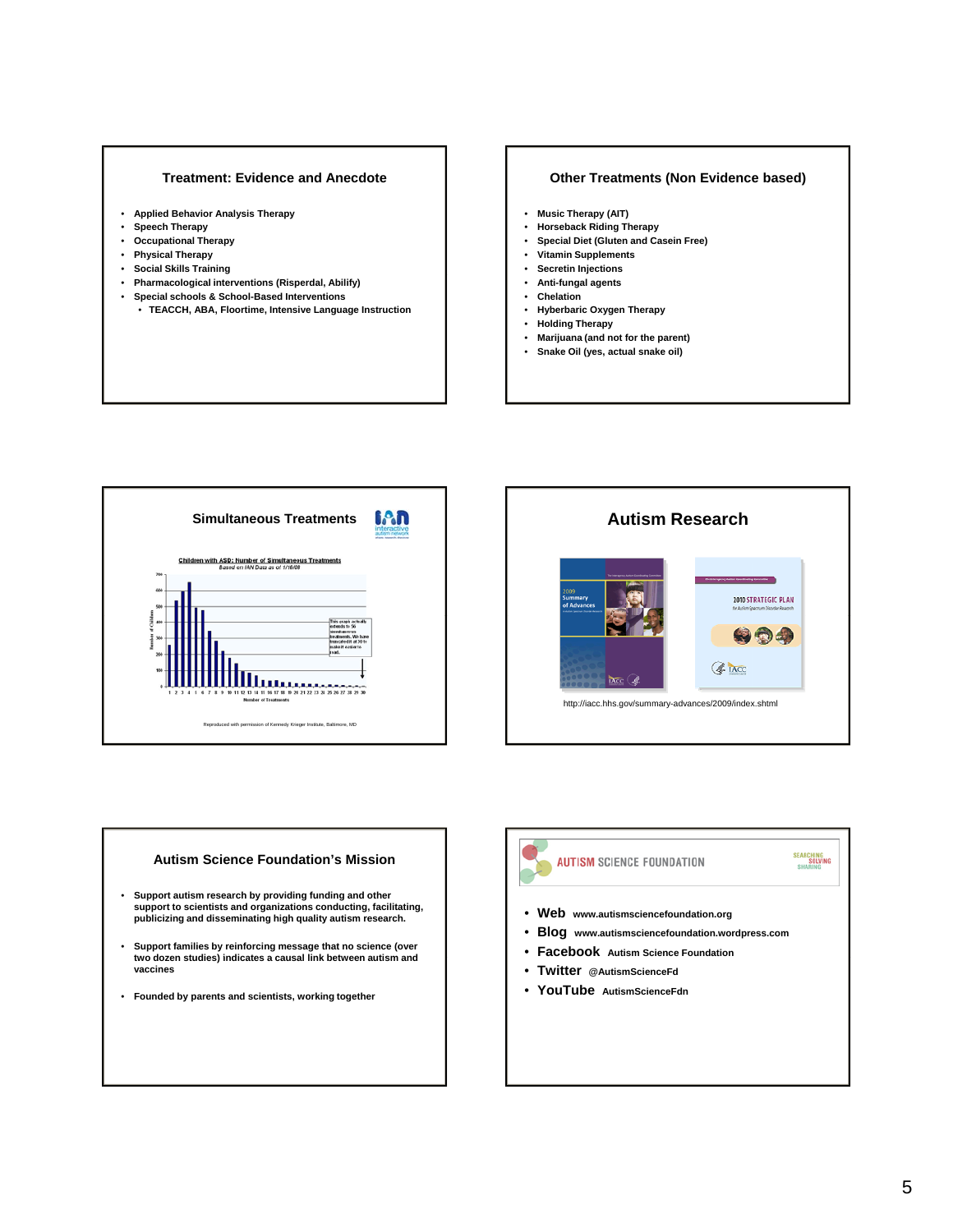#### **Treatment: Evidence and Anecdote**

- **Applied Behavior Analysis Therapy**
- **Speech Therapy**
- **Occupational Therapy**
- **Physical Therapy**
- **Social Skills Training**
- **Pharmacological interventions (Risperdal, Abilify)**
- **Special schools & School-Based Interventions**
	- **TEACCH, ABA, Floortime, Intensive Language Instruction**

#### **Other Treatments (Non Evidence based)**

- **Music Therapy (AIT)**
- **Horseback Riding Therapy**
- **Special Diet (Gluten and Casein Free)**
- **Vitamin Supplements**
- **Secretin Injections**
- **Anti-fungal agents**
- **Chelation**
- **Hyberbaric Oxygen Therapy**
- **Holding Therapy**
- **Marijuana (and not for the parent)**
- **Snake Oil (yes, actual snake oil)**





#### **Autism Science Foundation's Mission**

- **Support autism research by providing funding and other support to scientists and organizations conducting, facilitating, publicizing and disseminating high quality autism research.**
- Support families by reinforcing message that no science (over two dozen studies) indicates a causal link between autism and **vaccines**
- **Founded by parents and scientists, working together**



- **Blog www.autismsciencefoundation.wordpress.com**
- **Facebook Autism Science Foundation**
- **Twitter @AutismScienceFd**
- 
- **YouTube AutismScienceFdn**